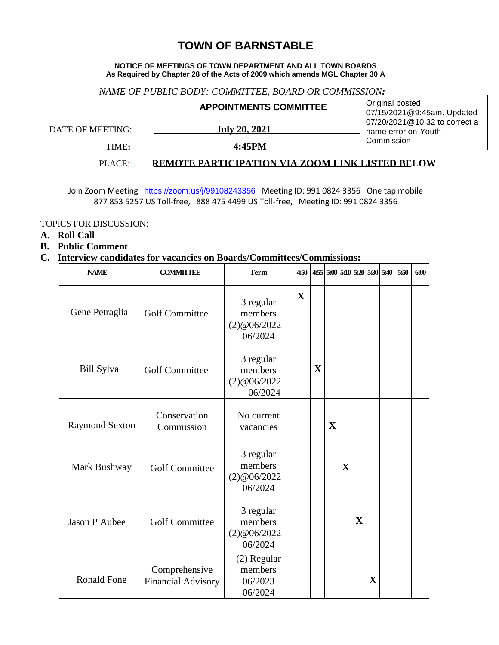# **TOWN OF BARNSTABLE**

#### **NOTICE OF MEETINGS OF TOWN DEPARTMENT AND ALL TOWN BOARDS As Required by Chapter 28 of the Acts of 2009 which amends MGL Chapter 30 A**

### *NAME OF PUBLIC BODY: COMMITTEE, BOARD OR COMMISSION:*

|                  | <b>APPOINTMENTS COMMITTEE</b> | Original posted<br>07/15/2021@9:45am. Updated        |  |  |  |  |
|------------------|-------------------------------|------------------------------------------------------|--|--|--|--|
| DATE OF MEETING: | <b>July 20, 2021</b>          | 07/20/2021@10:32 to correct a<br>name error on Youth |  |  |  |  |
| TIME:            | 4:45PM                        | Commission                                           |  |  |  |  |

## PLACE: **REMOTE PARTICIPATION VIA ZOOM LINK LISTED BELOW**

Join Zoom Meeting <https://zoom.us/j/99108243356> Meeting ID: 991 0824 3356 One tap mobile 877 853 5257 US Toll-free, 888 475 4499 US Toll-free, Meeting ID: 991 0824 3356

#### TOPICS FOR DISCUSSION:

**A. Roll Call**

#### **B. Public Comment**

## **C. Interview candidates for vacancies on Boards/Committees/Commissions:**

| <b>NAME</b>           | <b>COMMITTEE</b>                           | <b>Term</b>                                    | 4:50        |             |              |             |             |             | 4:55 5:00 5:10 5:20 5:30 5:40 | 5:50 | 6:00 |
|-----------------------|--------------------------------------------|------------------------------------------------|-------------|-------------|--------------|-------------|-------------|-------------|-------------------------------|------|------|
| Gene Petraglia        | <b>Golf Committee</b>                      | 3 regular<br>members<br>(2)@06/2022<br>06/2024 | $\mathbf X$ |             |              |             |             |             |                               |      |      |
| <b>Bill Sylva</b>     | <b>Golf Committee</b>                      | 3 regular<br>members<br>(2)@06/2022<br>06/2024 |             | $\mathbf X$ |              |             |             |             |                               |      |      |
| <b>Raymond Sexton</b> | Conservation<br>Commission                 | No current<br>vacancies                        |             |             | $\mathbf{X}$ |             |             |             |                               |      |      |
| Mark Bushway          | <b>Golf Committee</b>                      | 3 regular<br>members<br>(2)@06/2022<br>06/2024 |             |             |              | $\mathbf X$ |             |             |                               |      |      |
| Jason P Aubee         | <b>Golf Committee</b>                      | 3 regular<br>members<br>(2)@06/2022<br>06/2024 |             |             |              |             | $\mathbf X$ |             |                               |      |      |
| <b>Ronald Fone</b>    | Comprehensive<br><b>Financial Advisory</b> | (2) Regular<br>members<br>06/2023<br>06/2024   |             |             |              |             |             | $\mathbf X$ |                               |      |      |